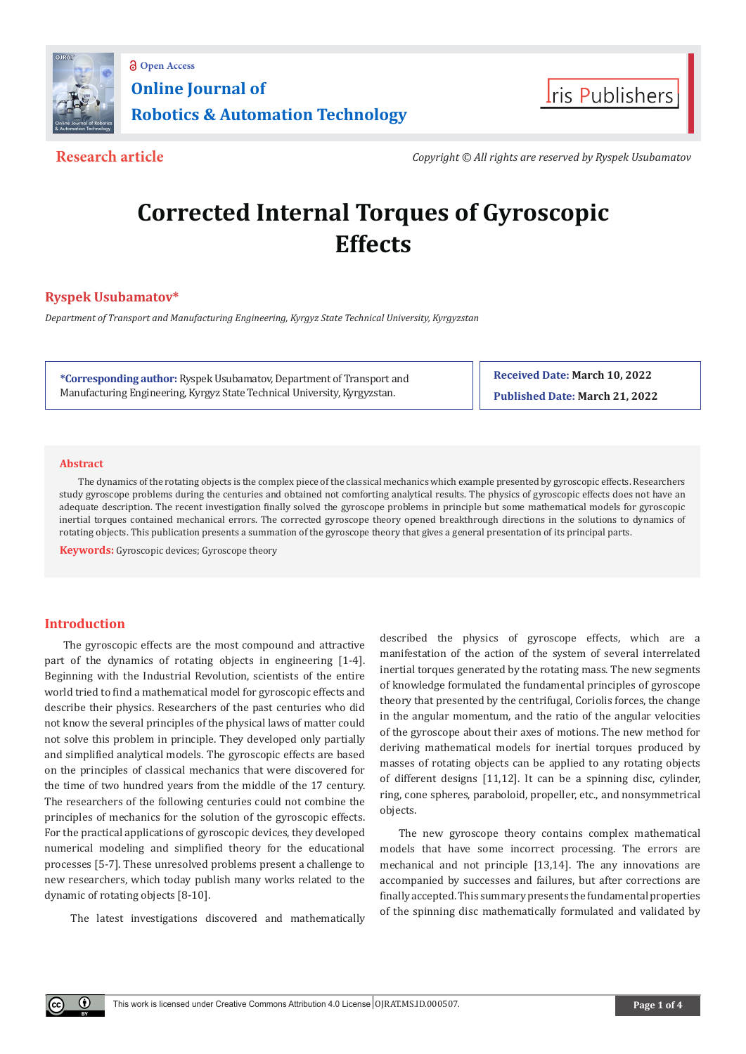



**Research article** *Copyright © All rights are reserved by Ryspek Usubamatov*

# **Corrected Internal Torques of Gyroscopic Effects**

# **Ryspek Usubamatov\***

*Department of Transport and Manufacturing Engineering, Kyrgyz State Technical University, Kyrgyzstan* 

**\*Corresponding author:** Ryspek Usubamatov, Department of Transport and Manufacturing Engineering, Kyrgyz State Technical University, Kyrgyzstan.

**Received Date: March 10, 2022 Published Date: March 21, 2022**

### **Abstract**

The dynamics of the rotating objects is the complex piece of the classical mechanics which example presented by gyroscopic effects. Researchers study gyroscope problems during the centuries and obtained not comforting analytical results. The physics of gyroscopic effects does not have an adequate description. The recent investigation finally solved the gyroscope problems in principle but some mathematical models for gyroscopic inertial torques contained mechanical errors. The corrected gyroscope theory opened breakthrough directions in the solutions to dynamics of rotating objects. This publication presents a summation of the gyroscope theory that gives a general presentation of its principal parts.

**Keywords:** Gyroscopic devices; Gyroscope theory

# **Introduction**

Œ

The gyroscopic effects are the most compound and attractive part of the dynamics of rotating objects in engineering [1-4]. Beginning with the Industrial Revolution, scientists of the entire world tried to find a mathematical model for gyroscopic effects and describe their physics. Researchers of the past centuries who did not know the several principles of the physical laws of matter could not solve this problem in principle. They developed only partially and simplified analytical models. The gyroscopic effects are based on the principles of classical mechanics that were discovered for the time of two hundred years from the middle of the 17 century. The researchers of the following centuries could not combine the principles of mechanics for the solution of the gyroscopic effects. For the practical applications of gyroscopic devices, they developed numerical modeling and simplified theory for the educational processes [5-7]. These unresolved problems present a challenge to new researchers, which today publish many works related to the dynamic of rotating objects [8-10].

The latest investigations discovered and mathematically

described the physics of gyroscope effects, which are a manifestation of the action of the system of several interrelated inertial torques generated by the rotating mass. The new segments of knowledge formulated the fundamental principles of gyroscope theory that presented by the centrifugal, Coriolis forces, the change in the angular momentum, and the ratio of the angular velocities of the gyroscope about their axes of motions. The new method for deriving mathematical models for inertial torques produced by masses of rotating objects can be applied to any rotating objects of different designs [11,12]. It can be a spinning disc, cylinder, ring, cone spheres, paraboloid, propeller, etc., and nonsymmetrical objects.

The new gyroscope theory contains complex mathematical models that have some incorrect processing. The errors are mechanical and not principle [13,14]. The any innovations are accompanied by successes and failures, but after corrections are finally accepted. This summary presents the fundamental properties of the spinning disc mathematically formulated and validated by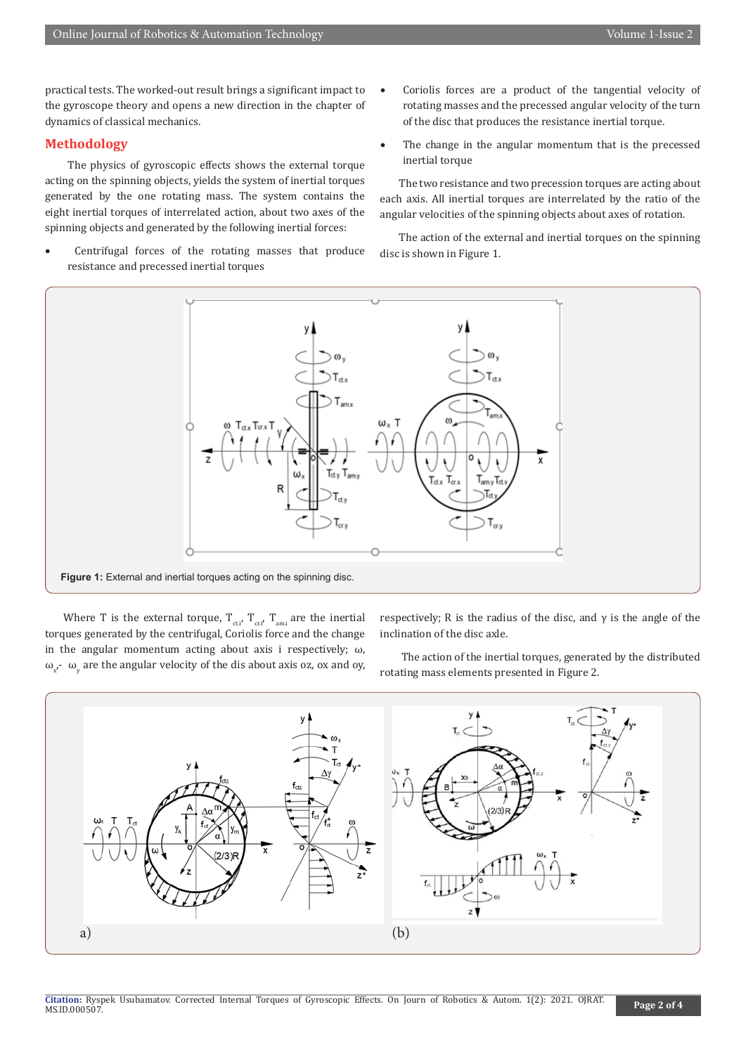practical tests. The worked-out result brings a significant impact to the gyroscope theory and opens a new direction in the chapter of dynamics of classical mechanics.

# **Methodology**

 The physics of gyroscopic effects shows the external torque acting on the spinning objects, yields the system of inertial torques generated by the one rotating mass. The system contains the eight inertial torques of interrelated action, about two axes of the spinning objects and generated by the following inertial forces:

Centrifugal forces of the rotating masses that produce resistance and precessed inertial torques

- Coriolis forces are a product of the tangential velocity of rotating masses and the precessed angular velocity of the turn of the disc that produces the resistance inertial torque.
- The change in the angular momentum that is the precessed inertial torque

The two resistance and two precession torques are acting about each axis. All inertial torques are interrelated by the ratio of the angular velocities of the spinning objects about axes of rotation.

The action of the external and inertial torques on the spinning disc is shown in Figure 1.



Where T is the external torque,  $T_{\text{ct,i'}}$ ,  $T_{\text{cm,i}}$  are the inertial torques generated by the centrifugal, Coriolis force and the change in the angular momentum acting about axis i respectively;  $\omega$ ,  $ω_{x'}$ -  $ω_{y}$  are the angular velocity of the dis about axis oz, ox and oy, respectively; R is the radius of the disc, and  $\gamma$  is the angle of the inclination of the disc axle.

 The action of the inertial torques, generated by the distributed rotating mass elements presented in Figure 2.

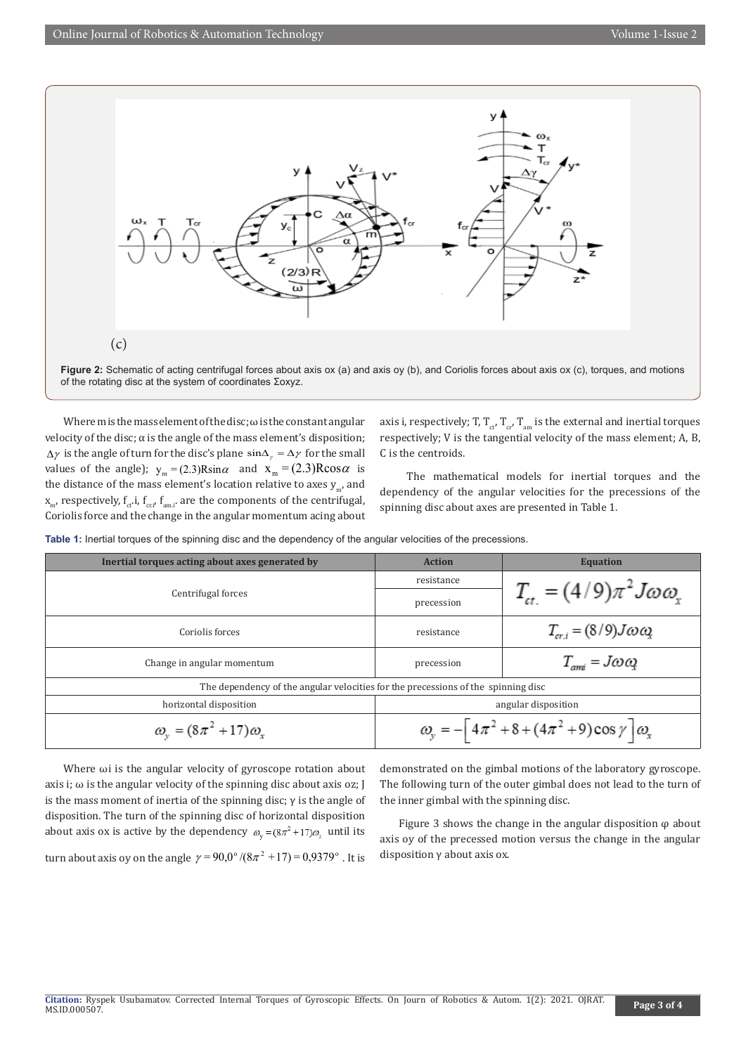

Figure 2: Schematic of acting centrifugal forces about axis ox (a) and axis oy (b), and Coriolis forces about axis ox (c), torques, and motions of the rotating disc at the system of coordinates Σoxyz.

Where m is the mass element of the disc;  $\omega$  is the constant angular velocity of the disc;  $\alpha$  is the angle of the mass element's disposition;  $\Delta \gamma$  is the angle of turn for the disc's plane  $\sin \Delta \gamma = \Delta \gamma$  for the small values of the angle);  $y_m = (2.3)R\sin\alpha$  and  $x_m = (2.3)R\cos\alpha$  is the distance of the mass element's location relative to axes  $y_{m}$ , and  $X_{m'}$  respectively,  $f_{ct}$ ,  $f_{cct}$ ,  $f_{am,i'}$  are the components of the centrifugal, Coriolis force and the change in the angular momentum acing about axis i, respectively; T,  $T_{ct}$ ,  $T_{cr}$ ,  $T_{am}$  is the external and inertial torques respectively; V is the tangential velocity of the mass element; A, B, C is the centroids.

 The mathematical models for inertial torques and the dependency of the angular velocities for the precessions of the spinning disc about axes are presented in Table 1.

**Table 1:** Inertial torques of the spinning disc and the dependency of the angular velocities of the precessions.

| Inertial torques acting about axes generated by                                   | <b>Action</b>                                                        | <b>Equation</b>                                    |
|-----------------------------------------------------------------------------------|----------------------------------------------------------------------|----------------------------------------------------|
| Centrifugal forces                                                                | resistance                                                           | $T_{\alpha} = (4/9)\pi^2 J \omega \omega_{\alpha}$ |
|                                                                                   | precession                                                           |                                                    |
| Coriolis forces                                                                   | resistance                                                           | $T_{cr,i} = (8/9)J\omega\omega_i$                  |
| Change in angular momentum                                                        | precession                                                           | $T_{\text{cm}i} = J\omega\omega$                   |
| The dependency of the angular velocities for the precessions of the spinning disc |                                                                      |                                                    |
| horizontal disposition                                                            | angular disposition                                                  |                                                    |
| $\omega_v = (8\pi^2 + 17)\omega_x$                                                | $\omega_{y} = -[4\pi^{2} + 8 + (4\pi^{2} + 9)\cos \gamma]\omega_{x}$ |                                                    |

Where ωi is the angular velocity of gyroscope rotation about axis i;  $\omega$  is the angular velocity of the spinning disc about axis oz; J is the mass moment of inertia of the spinning disc; γ is the angle of disposition. The turn of the spinning disc of horizontal disposition about axis ox is active by the dependency  $\omega_v = (8\pi^2 + 17)\omega_v$  until its

turn about axis oy on the angle  $\gamma = 90.0^{\circ}/(8\pi^2 + 17) = 0.9379^{\circ}$ . It is

demonstrated on the gimbal motions of the laboratory gyroscope. The following turn of the outer gimbal does not lead to the turn of the inner gimbal with the spinning disc.

Figure 3 shows the change in the angular disposition  $\varphi$  about axis oy of the precessed motion versus the change in the angular disposition γ about axis ox.